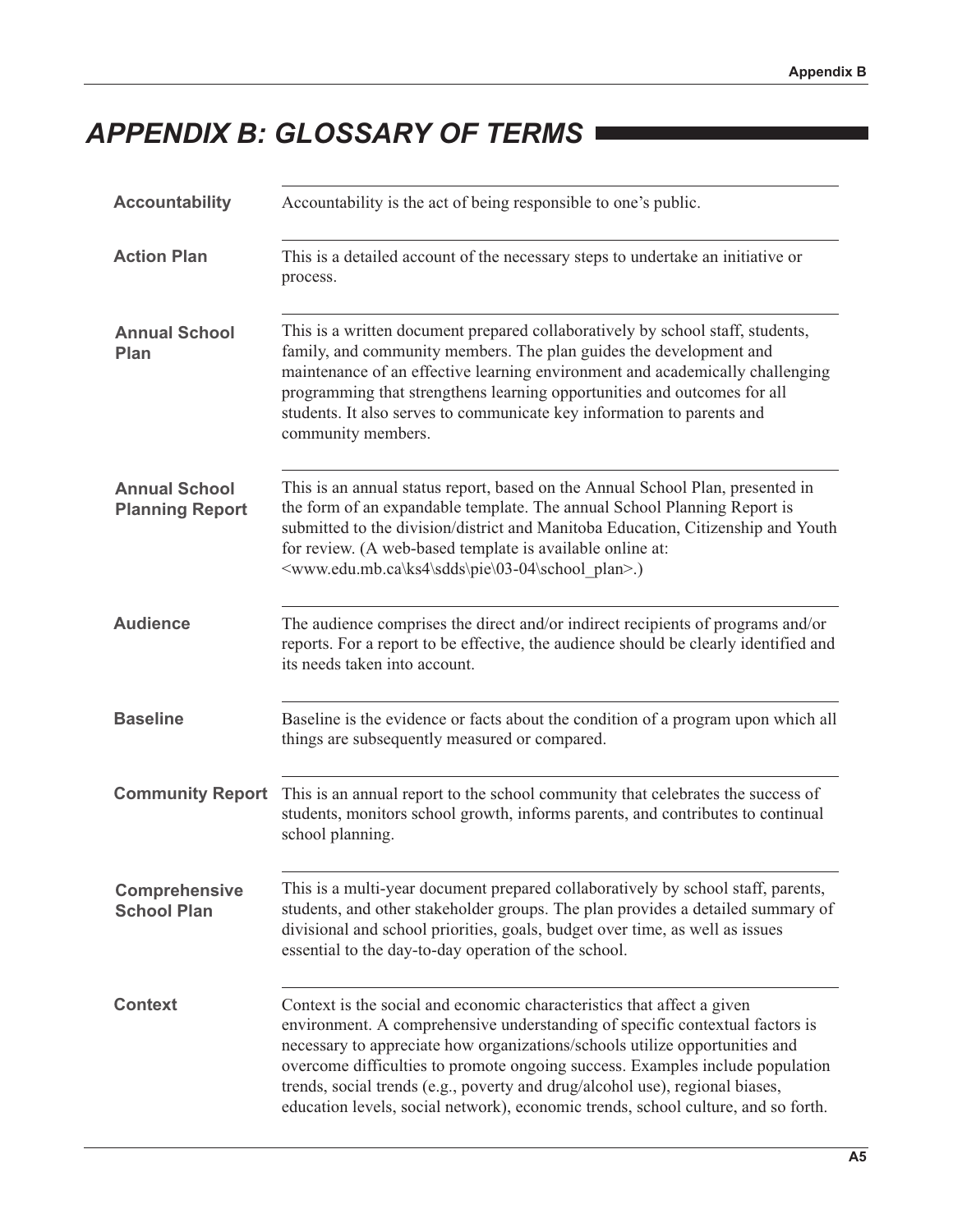## **APPENDIX B: GLOSSARY OF TERMS**

| <b>Accountability</b>                          | Accountability is the act of being responsible to one's public.                                                                                                                                                                                                                                                                                                                                                                                                                             |  |  |
|------------------------------------------------|---------------------------------------------------------------------------------------------------------------------------------------------------------------------------------------------------------------------------------------------------------------------------------------------------------------------------------------------------------------------------------------------------------------------------------------------------------------------------------------------|--|--|
| <b>Action Plan</b>                             | This is a detailed account of the necessary steps to undertake an initiative or<br>process.                                                                                                                                                                                                                                                                                                                                                                                                 |  |  |
| <b>Annual School</b><br>Plan                   | This is a written document prepared collaboratively by school staff, students,<br>family, and community members. The plan guides the development and<br>maintenance of an effective learning environment and academically challenging<br>programming that strengthens learning opportunities and outcomes for all<br>students. It also serves to communicate key information to parents and<br>community members.                                                                           |  |  |
| <b>Annual School</b><br><b>Planning Report</b> | This is an annual status report, based on the Annual School Plan, presented in<br>the form of an expandable template. The annual School Planning Report is<br>submitted to the division/district and Manitoba Education, Citizenship and Youth<br>for review. (A web-based template is available online at:<br><www.edu.mb.ca\ks4\sdds\pie\03-04\school plan="">.)</www.edu.mb.ca\ks4\sdds\pie\03-04\school>                                                                                |  |  |
| <b>Audience</b>                                | The audience comprises the direct and/or indirect recipients of programs and/or<br>reports. For a report to be effective, the audience should be clearly identified and<br>its needs taken into account.                                                                                                                                                                                                                                                                                    |  |  |
| <b>Baseline</b>                                | Baseline is the evidence or facts about the condition of a program upon which all<br>things are subsequently measured or compared.                                                                                                                                                                                                                                                                                                                                                          |  |  |
| <b>Community Report</b>                        | This is an annual report to the school community that celebrates the success of<br>students, monitors school growth, informs parents, and contributes to continual<br>school planning.                                                                                                                                                                                                                                                                                                      |  |  |
| <b>Comprehensive</b><br><b>School Plan</b>     | This is a multi-year document prepared collaboratively by school staff, parents,<br>students, and other stakeholder groups. The plan provides a detailed summary of<br>divisional and school priorities, goals, budget over time, as well as issues<br>essential to the day-to-day operation of the school.                                                                                                                                                                                 |  |  |
| <b>Context</b>                                 | Context is the social and economic characteristics that affect a given<br>environment. A comprehensive understanding of specific contextual factors is<br>necessary to appreciate how organizations/schools utilize opportunities and<br>overcome difficulties to promote ongoing success. Examples include population<br>trends, social trends (e.g., poverty and drug/alcohol use), regional biases,<br>education levels, social network), economic trends, school culture, and so forth. |  |  |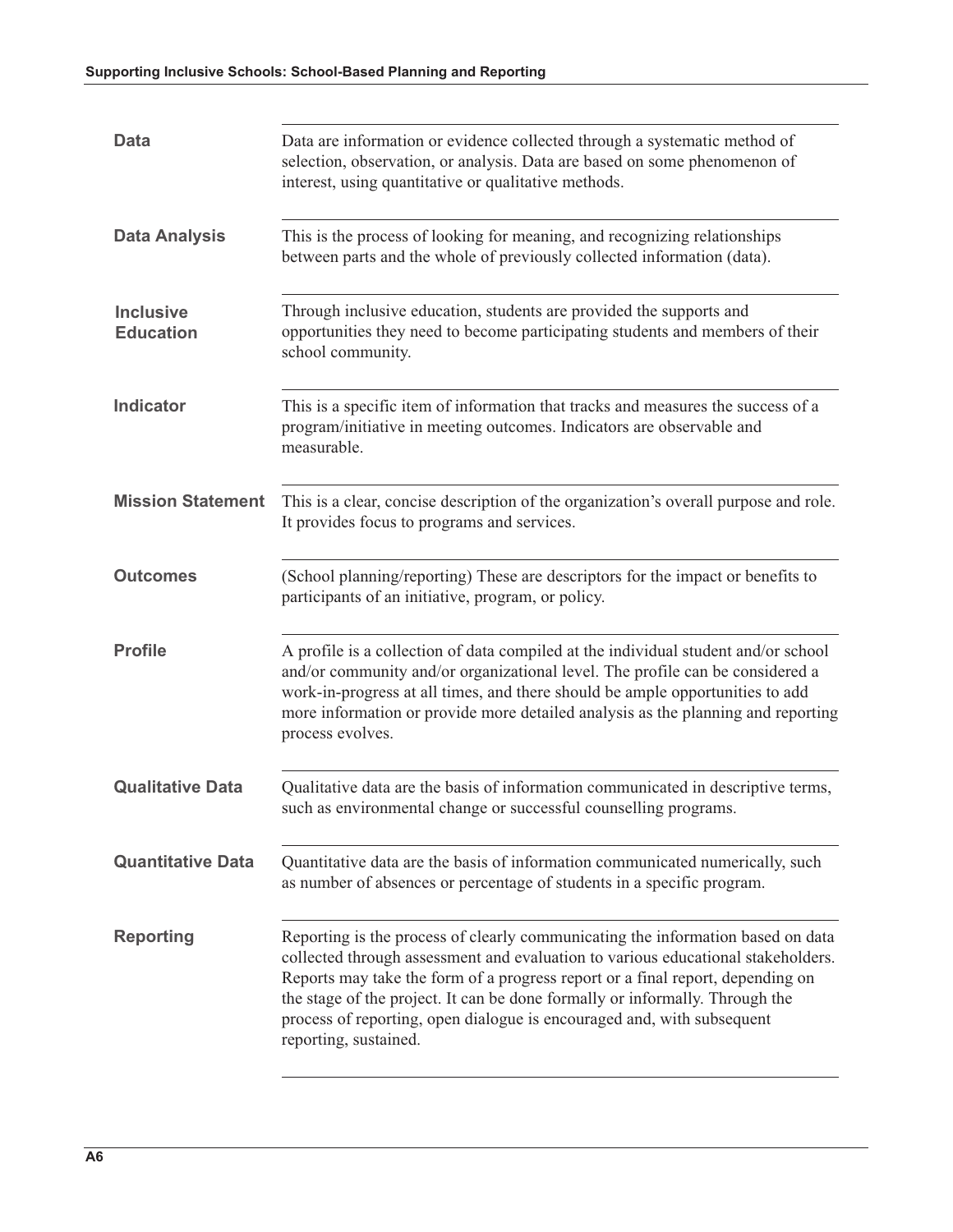| Data                                 | Data are information or evidence collected through a systematic method of<br>selection, observation, or analysis. Data are based on some phenomenon of<br>interest, using quantitative or qualitative methods.                                                                                                                                                                                                                           |  |  |
|--------------------------------------|------------------------------------------------------------------------------------------------------------------------------------------------------------------------------------------------------------------------------------------------------------------------------------------------------------------------------------------------------------------------------------------------------------------------------------------|--|--|
| <b>Data Analysis</b>                 | This is the process of looking for meaning, and recognizing relationships<br>between parts and the whole of previously collected information (data).                                                                                                                                                                                                                                                                                     |  |  |
| <b>Inclusive</b><br><b>Education</b> | Through inclusive education, students are provided the supports and<br>opportunities they need to become participating students and members of their<br>school community.                                                                                                                                                                                                                                                                |  |  |
| <b>Indicator</b>                     | This is a specific item of information that tracks and measures the success of a<br>program/initiative in meeting outcomes. Indicators are observable and<br>measurable.                                                                                                                                                                                                                                                                 |  |  |
| <b>Mission Statement</b>             | This is a clear, concise description of the organization's overall purpose and role.<br>It provides focus to programs and services.                                                                                                                                                                                                                                                                                                      |  |  |
| <b>Outcomes</b>                      | (School planning/reporting) These are descriptors for the impact or benefits to<br>participants of an initiative, program, or policy.                                                                                                                                                                                                                                                                                                    |  |  |
| <b>Profile</b>                       | A profile is a collection of data compiled at the individual student and/or school<br>and/or community and/or organizational level. The profile can be considered a<br>work-in-progress at all times, and there should be ample opportunities to add<br>more information or provide more detailed analysis as the planning and reporting<br>process evolves.                                                                             |  |  |
| <b>Qualitative Data</b>              | Qualitative data are the basis of information communicated in descriptive terms,<br>such as environmental change or successful counselling programs.                                                                                                                                                                                                                                                                                     |  |  |
| <b>Quantitative Data</b>             | Quantitative data are the basis of information communicated numerically, such<br>as number of absences or percentage of students in a specific program.                                                                                                                                                                                                                                                                                  |  |  |
| <b>Reporting</b>                     | Reporting is the process of clearly communicating the information based on data<br>collected through assessment and evaluation to various educational stakeholders.<br>Reports may take the form of a progress report or a final report, depending on<br>the stage of the project. It can be done formally or informally. Through the<br>process of reporting, open dialogue is encouraged and, with subsequent<br>reporting, sustained. |  |  |